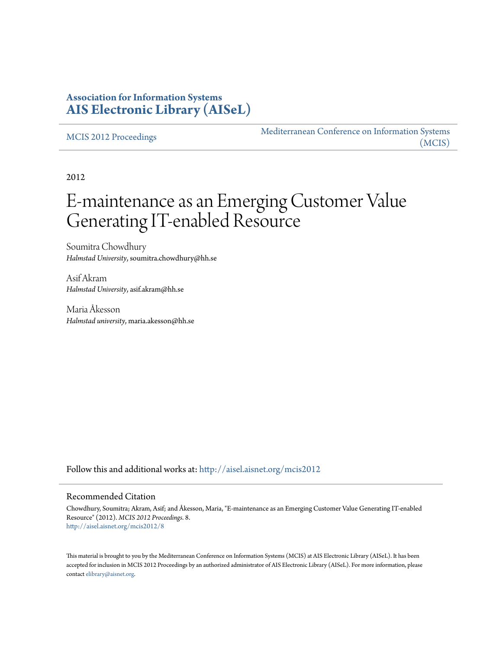## **Association for Information Systems [AIS Electronic Library \(AISeL\)](http://aisel.aisnet.org?utm_source=aisel.aisnet.org%2Fmcis2012%2F8&utm_medium=PDF&utm_campaign=PDFCoverPages)**

[MCIS 2012 Proceedings](http://aisel.aisnet.org/mcis2012?utm_source=aisel.aisnet.org%2Fmcis2012%2F8&utm_medium=PDF&utm_campaign=PDFCoverPages)

[Mediterranean Conference on Information Systems](http://aisel.aisnet.org/mcis?utm_source=aisel.aisnet.org%2Fmcis2012%2F8&utm_medium=PDF&utm_campaign=PDFCoverPages) [\(MCIS\)](http://aisel.aisnet.org/mcis?utm_source=aisel.aisnet.org%2Fmcis2012%2F8&utm_medium=PDF&utm_campaign=PDFCoverPages)

2012

# E-maintenance as an Emerging Customer Value Generating IT-enabled Resource

Soumitra Chowdhury *Halmstad University*, soumitra.chowdhury@hh.se

Asif Akram *Halmstad University*, asif.akram@hh.se

Maria Åkesson *Halmstad university*, maria.akesson@hh.se

Follow this and additional works at: [http://aisel.aisnet.org/mcis2012](http://aisel.aisnet.org/mcis2012?utm_source=aisel.aisnet.org%2Fmcis2012%2F8&utm_medium=PDF&utm_campaign=PDFCoverPages)

#### Recommended Citation

Chowdhury, Soumitra; Akram, Asif; and Åkesson, Maria, "E-maintenance as an Emerging Customer Value Generating IT-enabled Resource" (2012). *MCIS 2012 Proceedings*. 8. [http://aisel.aisnet.org/mcis2012/8](http://aisel.aisnet.org/mcis2012/8?utm_source=aisel.aisnet.org%2Fmcis2012%2F8&utm_medium=PDF&utm_campaign=PDFCoverPages)

This material is brought to you by the Mediterranean Conference on Information Systems (MCIS) at AIS Electronic Library (AISeL). It has been accepted for inclusion in MCIS 2012 Proceedings by an authorized administrator of AIS Electronic Library (AISeL). For more information, please contact [elibrary@aisnet.org.](mailto:elibrary@aisnet.org%3E)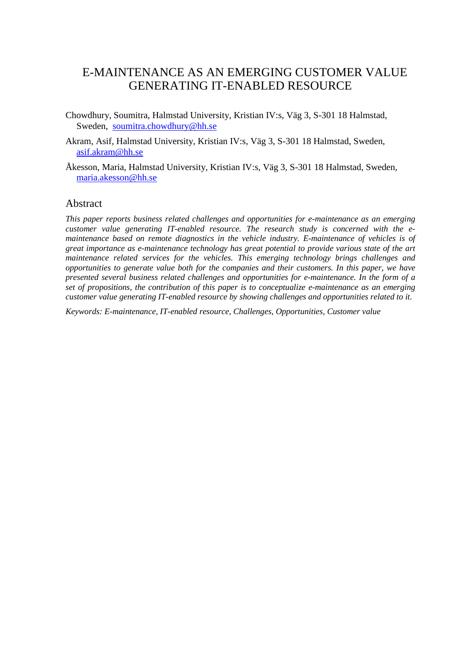# E-MAINTENANCE AS AN EMERGING CUSTOMER VALUE GENERATING IT-ENABLED RESOURCE

- Chowdhury, Soumitra, Halmstad University, Kristian IV:s, Väg 3, S-301 18 Halmstad, Sweden, [soumitra.chowdhury@hh.se](mailto:soumitra.chowdhury@hh.se)
- Akram, Asif, Halmstad University, Kristian IV:s, Väg 3, S-301 18 Halmstad, Sweden, [asif.akram@hh.se](mailto:asif.akram@hh.se)
- Åkesson, Maria, Halmstad University, Kristian IV:s, Väg 3, S-301 18 Halmstad, Sweden, [maria.akesson@hh.se](mailto:maria.akesson@hh.se)

#### Abstract

*This paper reports business related challenges and opportunities for e-maintenance as an emerging customer value generating IT-enabled resource. The research study is concerned with the emaintenance based on remote diagnostics in the vehicle industry. E-maintenance of vehicles is of great importance as e-maintenance technology has great potential to provide various state of the art maintenance related services for the vehicles. This emerging technology brings challenges and opportunities to generate value both for the companies and their customers. In this paper, we have presented several business related challenges and opportunities for e-maintenance. In the form of a set of propositions, the contribution of this paper is to conceptualize e-maintenance as an emerging customer value generating IT-enabled resource by showing challenges and opportunities related to it.*

*Keywords: E-maintenance, IT-enabled resource, Challenges, Opportunities, Customer value*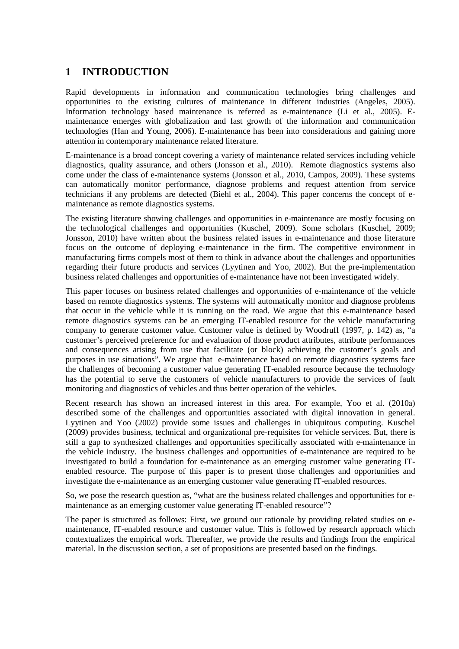## **1 INTRODUCTION**

Rapid developments in information and communication technologies bring challenges and opportunities to the existing cultures of maintenance in different industries (Angeles, 2005). Information technology based maintenance is referred as e-maintenance (Li et al., 2005). Emaintenance emerges with globalization and fast growth of the information and communication technologies (Han and Young, 2006). E-maintenance has been into considerations and gaining more attention in contemporary maintenance related literature.

E-maintenance is a broad concept covering a variety of maintenance related services including vehicle diagnostics, quality assurance, and others (Jonsson et al., 2010). Remote diagnostics systems also come under the class of e-maintenance systems (Jonsson et al., 2010, Campos, 2009). These systems can automatically monitor performance, diagnose problems and request attention from service technicians if any problems are detected (Biehl et al., 2004). This paper concerns the concept of emaintenance as remote diagnostics systems.

The existing literature showing challenges and opportunities in e-maintenance are mostly focusing on the technological challenges and opportunities (Kuschel, 2009). Some scholars (Kuschel, 2009; Jonsson, 2010) have written about the business related issues in e-maintenance and those literature focus on the outcome of deploying e-maintenance in the firm. The competitive environment in manufacturing firms compels most of them to think in advance about the challenges and opportunities regarding their future products and services (Lyytinen and Yoo, 2002). But the pre-implementation business related challenges and opportunities of e-maintenance have not been investigated widely.

This paper focuses on business related challenges and opportunities of e-maintenance of the vehicle based on remote diagnostics systems. The systems will automatically monitor and diagnose problems that occur in the vehicle while it is running on the road. We argue that this e-maintenance based remote diagnostics systems can be an emerging IT-enabled resource for the vehicle manufacturing company to generate customer value. Customer value is defined by Woodruff (1997, p. 142) as, "a customer's perceived preference for and evaluation of those product attributes, attribute performances and consequences arising from use that facilitate (or block) achieving the customer's goals and purposes in use situations". We argue that e-maintenance based on remote diagnostics systems face the challenges of becoming a customer value generating IT-enabled resource because the technology has the potential to serve the customers of vehicle manufacturers to provide the services of fault monitoring and diagnostics of vehicles and thus better operation of the vehicles.

Recent research has shown an increased interest in this area. For example, Yoo et al. (2010a) described some of the challenges and opportunities associated with digital innovation in general. Lyytinen and Yoo (2002) provide some issues and challenges in ubiquitous computing. Kuschel (2009) provides business, technical and organizational pre-requisites for vehicle services. But, there is still a gap to synthesized challenges and opportunities specifically associated with e-maintenance in the vehicle industry. The business challenges and opportunities of e-maintenance are required to be investigated to build a foundation for e-maintenance as an emerging customer value generating ITenabled resource. The purpose of this paper is to present those challenges and opportunities and investigate the e-maintenance as an emerging customer value generating IT-enabled resources.

So, we pose the research question as, "what are the business related challenges and opportunities for emaintenance as an emerging customer value generating IT-enabled resource"?

The paper is structured as follows: First, we ground our rationale by providing related studies on emaintenance, IT-enabled resource and customer value. This is followed by research approach which contextualizes the empirical work. Thereafter, we provide the results and findings from the empirical material. In the discussion section, a set of propositions are presented based on the findings.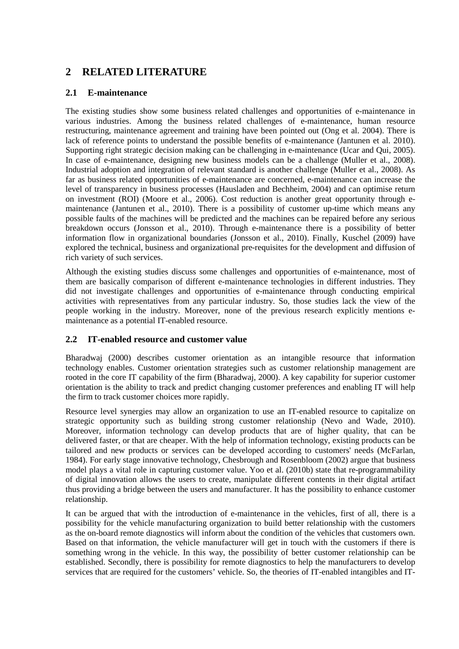## **2 RELATED LITERATURE**

### **2.1 E-maintenance**

The existing studies show some business related challenges and opportunities of e-maintenance in various industries. Among the business related challenges of e-maintenance, human resource restructuring, maintenance agreement and training have been pointed out (Ong et al. 2004). There is lack of reference points to understand the possible benefits of e-maintenance (Jantunen et al. 2010). Supporting right strategic decision making can be challenging in e-maintenance (Ucar and Qui, 2005). In case of e-maintenance, designing new business models can be a challenge (Muller et al., 2008). Industrial adoption and integration of relevant standard is another challenge (Muller et al., 2008). As far as business related opportunities of e-maintenance are concerned, e-maintenance can increase the level of transparency in business processes (Hausladen and Bechheim, 2004) and can optimise return on investment (ROI) (Moore et al., 2006). Cost reduction is another great opportunity through emaintenance (Jantunen et al., 2010). There is a possibility of customer up-time which means any possible faults of the machines will be predicted and the machines can be repaired before any serious breakdown occurs (Jonsson et al., 2010). Through e-maintenance there is a possibility of better information flow in organizational boundaries (Jonsson et al., 2010). Finally, Kuschel (2009) have explored the technical, business and organizational pre-requisites for the development and diffusion of rich variety of such services.

Although the existing studies discuss some challenges and opportunities of e-maintenance, most of them are basically comparison of different e-maintenance technologies in different industries. They did not investigate challenges and opportunities of e-maintenance through conducting empirical activities with representatives from any particular industry. So, those studies lack the view of the people working in the industry. Moreover, none of the previous research explicitly mentions emaintenance as a potential IT-enabled resource.

## **2.2 IT-enabled resource and customer value**

Bharadwaj (2000) describes customer orientation as an intangible resource that information technology enables. Customer orientation strategies such as customer relationship management are rooted in the core IT capability of the firm (Bharadwaj, 2000). A key capability for superior customer orientation is the ability to track and predict changing customer preferences and enabling IT will help the firm to track customer choices more rapidly.

Resource level synergies may allow an organization to use an IT-enabled resource to capitalize on strategic opportunity such as building strong customer relationship (Nevo and Wade, 2010). Moreover, information technology can develop products that are of higher quality, that can be delivered faster, or that are cheaper. With the help of information technology, existing products can be tailored and new products or services can be developed according to customers' needs (McFarlan, 1984). For early stage innovative technology, Chesbrough and Rosenbloom (2002) argue that business model plays a vital role in capturing customer value. Yoo et al. (2010b) state that re-programmability of digital innovation allows the users to create, manipulate different contents in their digital artifact thus providing a bridge between the users and manufacturer. It has the possibility to enhance customer relationship.

It can be argued that with the introduction of e-maintenance in the vehicles, first of all, there is a possibility for the vehicle manufacturing organization to build better relationship with the customers as the on-board remote diagnostics will inform about the condition of the vehicles that customers own. Based on that information, the vehicle manufacturer will get in touch with the customers if there is something wrong in the vehicle. In this way, the possibility of better customer relationship can be established. Secondly, there is possibility for remote diagnostics to help the manufacturers to develop services that are required for the customers' vehicle. So, the theories of IT-enabled intangibles and IT-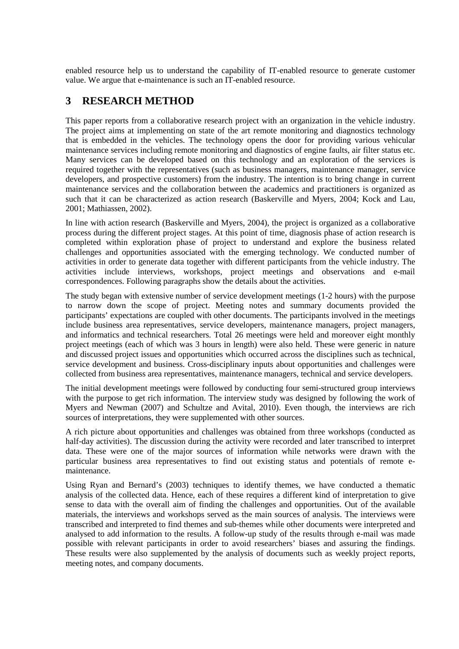enabled resource help us to understand the capability of IT-enabled resource to generate customer value. We argue that e-maintenance is such an IT-enabled resource.

## **3 RESEARCH METHOD**

This paper reports from a collaborative research project with an organization in the vehicle industry. The project aims at implementing on state of the art remote monitoring and diagnostics technology that is embedded in the vehicles. The technology opens the door for providing various vehicular maintenance services including remote monitoring and diagnostics of engine faults, air filter status etc. Many services can be developed based on this technology and an exploration of the services is required together with the representatives (such as business managers, maintenance manager, service developers, and prospective customers) from the industry. The intention is to bring change in current maintenance services and the collaboration between the academics and practitioners is organized as such that it can be characterized as action research (Baskerville and Myers, 2004; Kock and Lau, 2001; Mathiassen, 2002).

In line with action research (Baskerville and Myers, 2004), the project is organized as a collaborative process during the different project stages. At this point of time, diagnosis phase of action research is completed within exploration phase of project to understand and explore the business related challenges and opportunities associated with the emerging technology. We conducted number of activities in order to generate data together with different participants from the vehicle industry. The activities include interviews, workshops, project meetings and observations and e-mail correspondences. Following paragraphs show the details about the activities.

The study began with extensive number of service development meetings (1-2 hours) with the purpose to narrow down the scope of project. Meeting notes and summary documents provided the participants' expectations are coupled with other documents. The participants involved in the meetings include business area representatives, service developers, maintenance managers, project managers, and informatics and technical researchers. Total 26 meetings were held and moreover eight monthly project meetings (each of which was 3 hours in length) were also held. These were generic in nature and discussed project issues and opportunities which occurred across the disciplines such as technical, service development and business. Cross-disciplinary inputs about opportunities and challenges were collected from business area representatives, maintenance managers, technical and service developers.

The initial development meetings were followed by conducting four semi-structured group interviews with the purpose to get rich information. The interview study was designed by following the work of Myers and Newman (2007) and Schultze and Avital, 2010). Even though, the interviews are rich sources of interpretations, they were supplemented with other sources.

A rich picture about opportunities and challenges was obtained from three workshops (conducted as half-day activities). The discussion during the activity were recorded and later transcribed to interpret data. These were one of the major sources of information while networks were drawn with the particular business area representatives to find out existing status and potentials of remote emaintenance.

Using Ryan and Bernard's (2003) techniques to identify themes, we have conducted a thematic analysis of the collected data. Hence, each of these requires a different kind of interpretation to give sense to data with the overall aim of finding the challenges and opportunities. Out of the available materials, the interviews and workshops served as the main sources of analysis. The interviews were transcribed and interpreted to find themes and sub-themes while other documents were interpreted and analysed to add information to the results. A follow-up study of the results through e-mail was made possible with relevant participants in order to avoid researchers' biases and assuring the findings. These results were also supplemented by the analysis of documents such as weekly project reports, meeting notes, and company documents.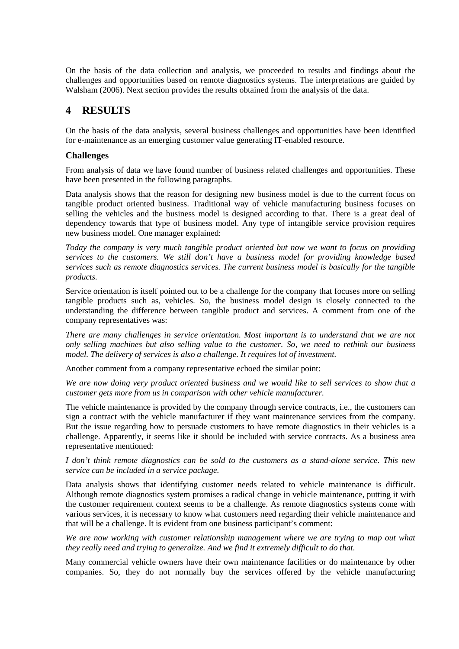On the basis of the data collection and analysis, we proceeded to results and findings about the challenges and opportunities based on remote diagnostics systems. The interpretations are guided by Walsham (2006). Next section provides the results obtained from the analysis of the data.

## **4 RESULTS**

On the basis of the data analysis, several business challenges and opportunities have been identified for e-maintenance as an emerging customer value generating IT-enabled resource.

#### **Challenges**

From analysis of data we have found number of business related challenges and opportunities. These have been presented in the following paragraphs.

Data analysis shows that the reason for designing new business model is due to the current focus on tangible product oriented business. Traditional way of vehicle manufacturing business focuses on selling the vehicles and the business model is designed according to that. There is a great deal of dependency towards that type of business model. Any type of intangible service provision requires new business model. One manager explained:

*Today the company is very much tangible product oriented but now we want to focus on providing services to the customers. We still don't have a business model for providing knowledge based services such as remote diagnostics services. The current business model is basically for the tangible products.*

Service orientation is itself pointed out to be a challenge for the company that focuses more on selling tangible products such as, vehicles. So, the business model design is closely connected to the understanding the difference between tangible product and services. A comment from one of the company representatives was:

*There are many challenges in service orientation. Most important is to understand that we are not only selling machines but also selling value to the customer. So, we need to rethink our business model. The delivery of services is also a challenge. It requires lot of investment.*

Another comment from a company representative echoed the similar point:

*We are now doing very product oriented business and we would like to sell services to show that a customer gets more from us in comparison with other vehicle manufacturer.*

The vehicle maintenance is provided by the company through service contracts, i.e., the customers can sign a contract with the vehicle manufacturer if they want maintenance services from the company. But the issue regarding how to persuade customers to have remote diagnostics in their vehicles is a challenge. Apparently, it seems like it should be included with service contracts. As a business area representative mentioned:

*I don't think remote diagnostics can be sold to the customers as a stand-alone service. This new service can be included in a service package.*

Data analysis shows that identifying customer needs related to vehicle maintenance is difficult. Although remote diagnostics system promises a radical change in vehicle maintenance, putting it with the customer requirement context seems to be a challenge. As remote diagnostics systems come with various services, it is necessary to know what customers need regarding their vehicle maintenance and that will be a challenge. It is evident from one business participant's comment:

*We are now working with customer relationship management where we are trying to map out what they really need and trying to generalize. And we find it extremely difficult to do that.*

Many commercial vehicle owners have their own maintenance facilities or do maintenance by other companies. So, they do not normally buy the services offered by the vehicle manufacturing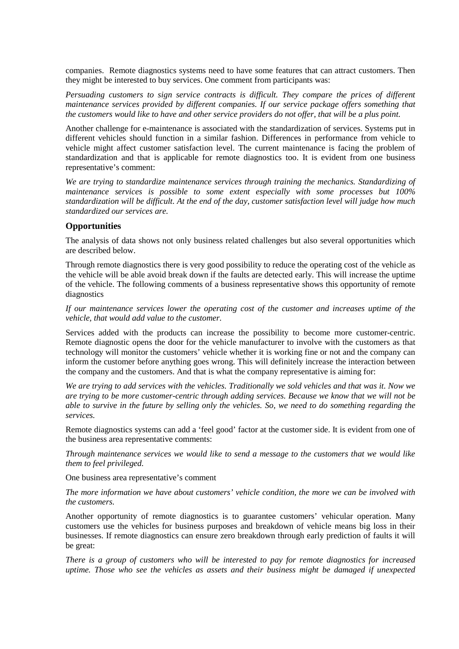companies. Remote diagnostics systems need to have some features that can attract customers. Then they might be interested to buy services. One comment from participants was:

*Persuading customers to sign service contracts is difficult. They compare the prices of different maintenance services provided by different companies. If our service package offers something that the customers would like to have and other service providers do not offer, that will be a plus point.*

Another challenge for e-maintenance is associated with the standardization of services. Systems put in different vehicles should function in a similar fashion. Differences in performance from vehicle to vehicle might affect customer satisfaction level. The current maintenance is facing the problem of standardization and that is applicable for remote diagnostics too. It is evident from one business representative's comment:

*We are trying to standardize maintenance services through training the mechanics. Standardizing of maintenance services is possible to some extent especially with some processes but 100% standardization will be difficult. At the end of the day, customer satisfaction level will judge how much standardized our services are.*

#### **Opportunities**

The analysis of data shows not only business related challenges but also several opportunities which are described below.

Through remote diagnostics there is very good possibility to reduce the operating cost of the vehicle as the vehicle will be able avoid break down if the faults are detected early. This will increase the uptime of the vehicle. The following comments of a business representative shows this opportunity of remote diagnostics

*If our maintenance services lower the operating cost of the customer and increases uptime of the vehicle, that would add value to the customer.*

Services added with the products can increase the possibility to become more customer-centric. Remote diagnostic opens the door for the vehicle manufacturer to involve with the customers as that technology will monitor the customers' vehicle whether it is working fine or not and the company can inform the customer before anything goes wrong. This will definitely increase the interaction between the company and the customers. And that is what the company representative is aiming for:

*We are trying to add services with the vehicles. Traditionally we sold vehicles and that was it. Now we are trying to be more customer-centric through adding services. Because we know that we will not be able to survive in the future by selling only the vehicles. So, we need to do something regarding the services.*

Remote diagnostics systems can add a 'feel good' factor at the customer side. It is evident from one of the business area representative comments:

*Through maintenance services we would like to send a message to the customers that we would like them to feel privileged.*

One business area representative's comment

*The more information we have about customers' vehicle condition, the more we can be involved with the customers.* 

Another opportunity of remote diagnostics is to guarantee customers' vehicular operation. Many customers use the vehicles for business purposes and breakdown of vehicle means big loss in their businesses. If remote diagnostics can ensure zero breakdown through early prediction of faults it will be great:

*There is a group of customers who will be interested to pay for remote diagnostics for increased uptime. Those who see the vehicles as assets and their business might be damaged if unexpected*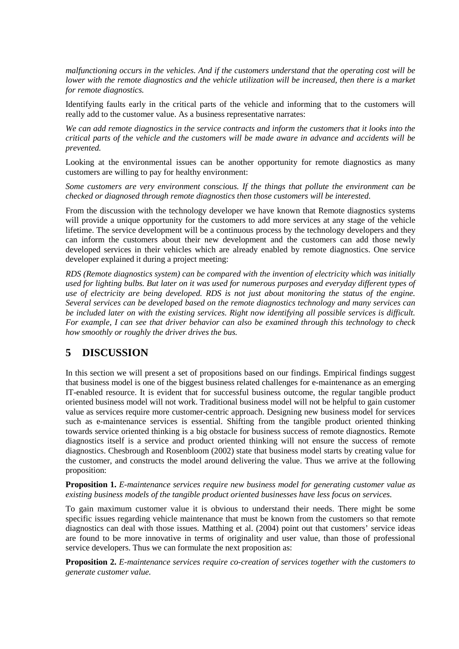*malfunctioning occurs in the vehicles. And if the customers understand that the operating cost will be lower with the remote diagnostics and the vehicle utilization will be increased, then there is a market for remote diagnostics.*

Identifying faults early in the critical parts of the vehicle and informing that to the customers will really add to the customer value. As a business representative narrates:

*We can add remote diagnostics in the service contracts and inform the customers that it looks into the critical parts of the vehicle and the customers will be made aware in advance and accidents will be prevented.*

Looking at the environmental issues can be another opportunity for remote diagnostics as many customers are willing to pay for healthy environment:

*Some customers are very environment conscious. If the things that pollute the environment can be checked or diagnosed through remote diagnostics then those customers will be interested.*

From the discussion with the technology developer we have known that Remote diagnostics systems will provide a unique opportunity for the customers to add more services at any stage of the vehicle lifetime. The service development will be a continuous process by the technology developers and they can inform the customers about their new development and the customers can add those newly developed services in their vehicles which are already enabled by remote diagnostics. One service developer explained it during a project meeting:

*RDS (Remote diagnostics system) can be compared with the invention of electricity which was initially used for lighting bulbs. But later on it was used for numerous purposes and everyday different types of use of electricity are being developed. RDS is not just about monitoring the status of the engine. Several services can be developed based on the remote diagnostics technology and many services can be included later on with the existing services. Right now identifying all possible services is difficult. For example, I can see that driver behavior can also be examined through this technology to check how smoothly or roughly the driver drives the bus.*

## **5 DISCUSSION**

In this section we will present a set of propositions based on our findings. Empirical findings suggest that business model is one of the biggest business related challenges for e-maintenance as an emerging IT-enabled resource. It is evident that for successful business outcome, the regular tangible product oriented business model will not work. Traditional business model will not be helpful to gain customer value as services require more customer-centric approach. Designing new business model for services such as e-maintenance services is essential. Shifting from the tangible product oriented thinking towards service oriented thinking is a big obstacle for business success of remote diagnostics. Remote diagnostics itself is a service and product oriented thinking will not ensure the success of remote diagnostics. Chesbrough and Rosenbloom (2002) state that business model starts by creating value for the customer, and constructs the model around delivering the value. Thus we arrive at the following proposition:

**Proposition 1.** *E-maintenance services require new business model for generating customer value as existing business models of the tangible product oriented businesses have less focus on services.*

To gain maximum customer value it is obvious to understand their needs. There might be some specific issues regarding vehicle maintenance that must be known from the customers so that remote diagnostics can deal with those issues*.* Matthing et al. (2004) point out that customers' service ideas are found to be more innovative in terms of originality and user value, than those of professional service developers. Thus we can formulate the next proposition as:

**Proposition 2.** *E-maintenance services require co-creation of services together with the customers to generate customer value.*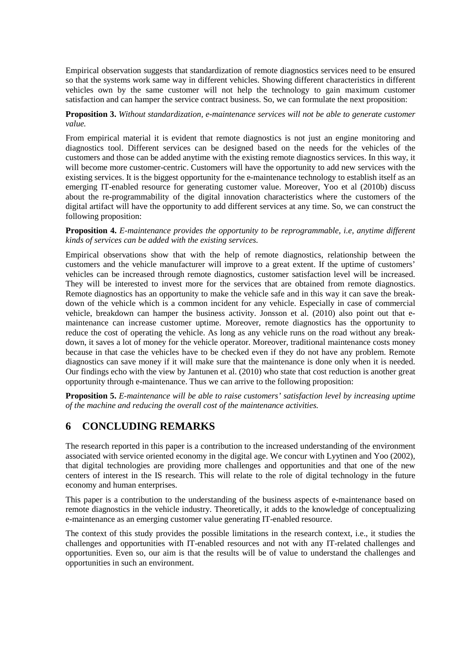Empirical observation suggests that standardization of remote diagnostics services need to be ensured so that the systems work same way in different vehicles. Showing different characteristics in different vehicles own by the same customer will not help the technology to gain maximum customer satisfaction and can hamper the service contract business. So, we can formulate the next proposition:

**Proposition 3.** *Without standardization, e-maintenance services will not be able to generate customer value.* 

From empirical material it is evident that remote diagnostics is not just an engine monitoring and diagnostics tool. Different services can be designed based on the needs for the vehicles of the customers and those can be added anytime with the existing remote diagnostics services. In this way, it will become more customer-centric. Customers will have the opportunity to add new services with the existing services. It is the biggest opportunity for the e-maintenance technology to establish itself as an emerging IT-enabled resource for generating customer value. Moreover, Yoo et al (2010b) discuss about the re-programmability of the digital innovation characteristics where the customers of the digital artifact will have the opportunity to add different services at any time. So, we can construct the following proposition:

#### **Proposition 4.** *E-maintenance provides the opportunity to be reprogrammable, i.e, anytime different kinds of services can be added with the existing services.*

Empirical observations show that with the help of remote diagnostics, relationship between the customers and the vehicle manufacturer will improve to a great extent. If the uptime of customers' vehicles can be increased through remote diagnostics, customer satisfaction level will be increased. They will be interested to invest more for the services that are obtained from remote diagnostics. Remote diagnostics has an opportunity to make the vehicle safe and in this way it can save the breakdown of the vehicle which is a common incident for any vehicle. Especially in case of commercial vehicle, breakdown can hamper the business activity. Jonsson et al. (2010) also point out that emaintenance can increase customer uptime. Moreover, remote diagnostics has the opportunity to reduce the cost of operating the vehicle. As long as any vehicle runs on the road without any breakdown, it saves a lot of money for the vehicle operator. Moreover, traditional maintenance costs money because in that case the vehicles have to be checked even if they do not have any problem. Remote diagnostics can save money if it will make sure that the maintenance is done only when it is needed. Our findings echo with the view by Jantunen et al. (2010) who state that cost reduction is another great opportunity through e-maintenance. Thus we can arrive to the following proposition:

**Proposition 5.** *E-maintenance will be able to raise customers' satisfaction level by increasing uptime of the machine and reducing the overall cost of the maintenance activities.*

## **6 CONCLUDING REMARKS**

The research reported in this paper is a contribution to the increased understanding of the environment associated with service oriented economy in the digital age. We concur with Lyytinen and Yoo (2002), that digital technologies are providing more challenges and opportunities and that one of the new centers of interest in the IS research. This will relate to the role of digital technology in the future economy and human enterprises.

This paper is a contribution to the understanding of the business aspects of e-maintenance based on remote diagnostics in the vehicle industry. Theoretically, it adds to the knowledge of conceptualizing e-maintenance as an emerging customer value generating IT-enabled resource.

The context of this study provides the possible limitations in the research context, i.e., it studies the challenges and opportunities with IT-enabled resources and not with any IT-related challenges and opportunities. Even so, our aim is that the results will be of value to understand the challenges and opportunities in such an environment.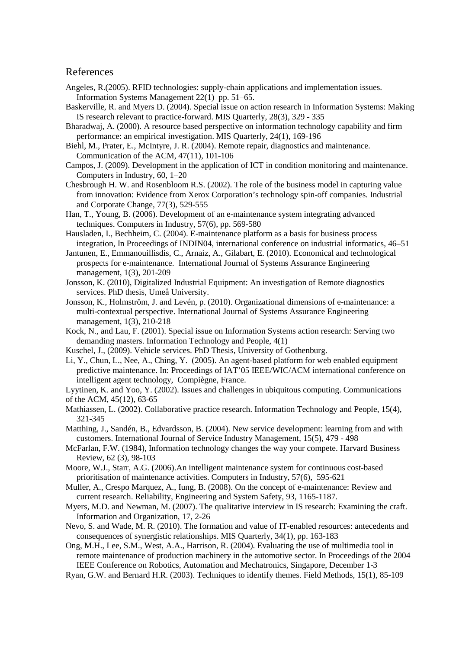#### References

- Angeles, R.(2005). RFID technologies: supply-chain applications and implementation issues. Information Systems Management 22(1) pp. 51–65.
- Baskerville, R. and Myers D. (2004). Special issue on action research in Information Systems: Making IS research relevant to practice-forward. MIS Quarterly, 28(3), 329 - 335
- Bharadwaj, A. (2000). A resource based perspective on information technology capability and firm performance: an empirical investigation. MIS Quarterly, 24(1), 169-196
- Biehl, M., Prater, E., McIntyre, J. R. (2004). Remote repair, diagnostics and maintenance. Communication of the ACM, 47(11), 101-106
- Campos, J. (2009). Development in the application of ICT in condition monitoring and maintenance. Computers in Industry, 60, 1–20
- Chesbrough H. W. and Rosenbloom R.S. (2002). The role of the business model in capturing value from innovation: Evidence from Xerox Corporation's technology spin-off companies*.* Industrial and Corporate Change, 77(3), 529-555
- Han, T., Young, B. (2006). Development of an e-maintenance system integrating advanced techniques. Computers in Industry, 57(6), pp. 569-580
- Hausladen, I., Bechheim, C. (2004). E-maintenance platform as a basis for business process integration, In Proceedings of INDIN04, international conference on industrial informatics, 46–51
- Jantunen, E., Emmanouillisdis, C., Arnaiz, A., Gilabart, E. (2010). Economical and technological prospects for e-maintenance. International Journal of Systems Assurance Engineering management, 1(3), 201-209
- Jonsson, K. (2010), Digitalized Industrial Equipment: An investigation of Remote diagnostics services. PhD thesis, Umeå University.
- Jonsson, K., Holmström, J. and Levén, p. (2010). Organizational dimensions of e-maintenance: a multi-contextual perspective. International Journal of Systems Assurance Engineering management, 1(3), 210-218
- Kock, N., and Lau, F. (2001). Special issue on Information Systems action research: Serving two demanding masters. Information Technology and People, 4(1)
- Kuschel, J., (2009). Vehicle services. PhD Thesis, University of Gothenburg.
- Li, Y., Chun, L., Nee, A., Ching, Y. (2005). An agent-based platform for web enabled equipment predictive maintenance. In: Proceedings of IAT'05 IEEE/WIC/ACM international conference on intelligent agent technology, Compiègne, France.

Lyytinen, K. and Yoo, Y. (2002). Issues and challenges in ubiquitous computing. Communications of the ACM, 45(12), 63-65

- Mathiassen, L. (2002). Collaborative practice research. Information Technology and People, 15(4), 321-345
- Matthing, J., Sandén, B., Edvardsson, B. (2004). New service development: learning from and with customers. International Journal of Service Industry Management, 15(5), 479 - 498
- McFarlan, F.W. (1984), Information technology changes the way your compete. Harvard Business Review, 62 (3), 98-103
- Moore, W.J., Starr, A.G. (2006).An intelligent maintenance system for continuous cost-based prioritisation of maintenance activities. Computers in Industry, 57(6), 595-621
- Muller, A., Crespo Marquez, A., Iung, B. (2008). On the concept of e-maintenance: Review and current research. Reliability, Engineering and System Safety, 93, 1165-1187.
- Myers, M.D. and Newman, M. (2007). The qualitative interview in IS research: Examining the craft. Information and Organization, 17, 2-26
- Nevo, S. and Wade, M. R. (2010). The formation and value of IT-enabled resources: antecedents and consequences of synergistic relationships. MIS Quarterly, 34(1), pp. 163-183

Ong, M.H., Lee, S.M., West, A.A., Harrison, R. (2004). Evaluating the use of multimedia tool in remote maintenance of production machinery in the automotive sector. In Proceedings of the 2004 IEEE Conference on Robotics, Automation and Mechatronics, Singapore, December 1-3

Ryan, G.W. and Bernard H.R. (2003). Techniques to identify themes. Field Methods, 15(1), 85-109